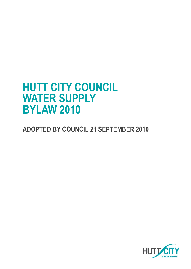# **HUTT CITY COUNCIL WATER SUPPLY BYLAW 2010**

**ADOPTED BY COUNCIL 21 SEPTEMBER 2010**

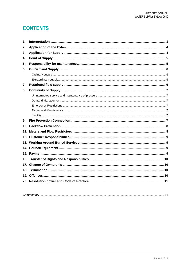# **CONTENTS**

| 1.  |  |
|-----|--|
| 2.  |  |
| 3.  |  |
| 4.  |  |
| 5.  |  |
| 6.  |  |
|     |  |
|     |  |
| 7.  |  |
| 8.  |  |
|     |  |
|     |  |
|     |  |
|     |  |
|     |  |
|     |  |
| 9.  |  |
| 10. |  |
|     |  |
|     |  |
|     |  |
|     |  |
|     |  |
|     |  |
|     |  |
|     |  |
|     |  |
|     |  |

|--|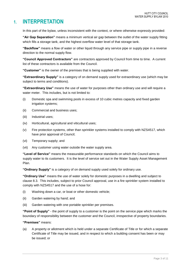# <span id="page-2-0"></span>**1. INTERPRETATION**

In this part of the bylaw, unless inconsistent with the context, or where otherwise expressly provided:

**"Air Gap Separation"** means a minimum vertical air gap between the outlet of the water supply fitting which fills a storage tank, and the highest overflow water level of that storage tank.

**"Backflow"** means a flow of water or other liquid through any service pipe or supply pipe in a reverse direction to the normal supply flow.

**"Council Approved Contractors"** are contractors approved by Council from time to time. A current list of these contractors is available from the Council.

**"Customer"** is the owner of the premises that is being supplied with water.

**"Extraordinary Supply"** is a category of on demand supply used for extraordinary use (which may be subject to terms and conditions).

**"Extraordinary Use"** means the use of water for purposes other than ordinary use and will require a water meter. This includes, but is not limited to:

- (i) Domestic spa and swimming pools in excess of 10 cubic metres capacity and fixed garden irrigation systems;
- (ii) Commercial and business uses;
- (iii) Industrial uses:
- (iv) Horticultural, agricultural and viticultural uses;
- (v) Fire protection systems, other than sprinkler systems installed to comply with NZS4517, which have prior approval of Council;
- (vi) Temporary supply; and
- (vii) Any customer using water outside the water supply area.

**"Level of Service"** means the measurable performance standards on which the Council aims to supply water to its customers. It is the level of service set out in the Water Supply Asset Management Plan.

**"Ordinary Supply"** is a category of on demand supply used solely for ordinary use.

**"Ordinary Use"** means the use of water solely for domestic purposes in a dwelling and subject to clause 8.3. This includes, subject to prior Council approval, use in a fire sprinkler system installed to comply with NZS4517 and the use of a hose for:

- (i) Washing down a car, or boat or other domestic vehicle;
- (ii) Garden watering by hand; and
- (iii) Garden watering with one portable sprinkler per premises.

**"Point of Supply"** - the point of supply to a customer is the point on the service pipe which marks the boundary of responsibility between the customer and the Council, irrespective of property boundaries.

#### **"Premises"** means:

(a) A property or allotment which is held under a separate Certificate of Title or for which a separate Certificate of Title may be issued, and in respect to which a building consent has been or may be issued; or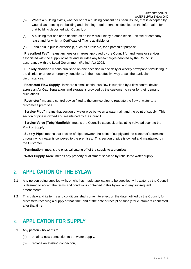- (b) Where a building exists, whether or not a building consent has been issued, that is accepted by Council as meeting the building and planning requirements as detailed on the information for that building deposited with Council; or
- (c) A building that has been defined as an individual unit by a cross-lease, unit title or company lease and for which a Certificate of Title is available; or
- (d) Land held in public ownership, such as a reserve, for a particular purpose.

**"Prescribed Fee"** means any fees or charges approved by the Council for and items or services associated with the supply of water and includes any fees/charges adopted by the Council in accordance with the Local Government (Rating) Act 2002.

**"Publicly Notified"** means published on one occasion in one daily or weekly newspaper circulating in the district, or under emergency conditions, in the most effective way to suit the particular circumstances.

**"Restricted Flow Supply"** is where a small continuous flow is supplied by a flow control device across an Air Gap Separation, and storage is provided by the customer to cater for their demand fluctuations.

**"Restrictor"** means a control device fitted to the service pipe to regulate the flow of water to a customer's premises.

**"Service Pipe"** means that section of water pipe between a watermain and the point of supply. This section of pipe is owned and maintained by the Council.

**"Service Valve (Toby/Manifold)"** means the Council's stopcock or isolating valve adjacent to the Point of Supply.

**"Supply Pipe"** means that section of pipe between the point of supply and the customer's premises through which water is conveyed to the premises. This section of pipe is owned and maintained by the Customer.

**"Termination"** means the physical cutting off of the supply to a premises.

<span id="page-3-0"></span>**"Water Supply Area"** means any property or allotment serviced by reticulated water supply.

### **2. APPLICATION OF THE BYLAW**

- **2.1** Any person being supplied with, or who has made application to be supplied with, water by the Council is deemed to accept the terms and conditions contained in this bylaw, and any subsequent amendments.
- **2.2** This bylaw and its terms and conditions shall come into effect on the date notified by the Council, for customers receiving a supply at that time, and at the date of receipt of supply for customers connected after that time.

### <span id="page-3-1"></span>**3. APPLICATION FOR SUPPLY**

- **3.1** Any person who wants to:
	- (a) obtain a new connection to the water supply,
	- (b) replace an existing connection,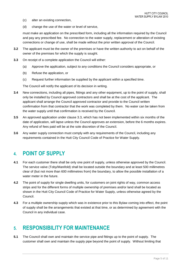- (c) alter an existing connection,
- (d) change the use of the water or level of service,

must make an application on the prescribed form, including all the information required by the Council and pay any prescribed fee. No connection to the water supply, replacement or alteration of existing connections or change of use, shall be made without the prior written approval of the Council.

- **3.2** The applicant must be the owner of the premises or have the written authority to act on behalf of the owner of the premises for which the supply is sought.
- **3.3** On receipt of a complete application the Council will either:
	- (a) Approve the application, subject to any conditions the Council considers appropriate, or
	- (b) Refuse the application, or
	- (c) Request further information be supplied by the applicant within a specified time.

The Council will notify the applicant of its decision in writing.

- **3.4** New connections, including all pipes, fittings and any other equipment, up to the point of supply, shall only be installed by Council approved contractors and shall be at the cost of the applicant. The applicant shall arrange the Council approved contractor and provide to the Council written confirmation from that contractor that the work was completed by them. No water can be taken from the water supply until that confirmation is received by the Council.
- **3.5** An approved application under clause 3.3, which has not been implemented within six months of the date of application, will lapse unless the Council approves an extension, before the 6 months expires. Any refund of fees paid will be at the sole discretion of the Council.
- **3.6** Any water supply connection must comply with any requirements of the Council, including any requirements contained in the Hutt City Council Code of Practice for Water Supply.

#### <span id="page-4-0"></span>**4. POINT OF SUPPLY**

- **4.1** For each customer there shall be only one point of supply, unless otherwise approved by the Council. The service valve (Toby/Manifold) shall be located outside the boundary and at least 500 millimetres clear of (but not more than 600 millimetres from) the boundary, to allow the possible installation of a water meter in the future.
- **4.2** The point of supply for single dwelling units, for customers on joint rights of way, common access strips and for the different forms of multiple ownership of premises and/or land shall be located as shown in the Hutt City Council Code of Practice for Water Supply, unless otherwise agreed by the Council.
- **4.3** For a multiple ownership supply which was in existence prior to this Bylaw coming into effect, the point of supply shall be the arrangements that existed at that time, or as determined by agreement with the Council in any individual case.

### <span id="page-4-1"></span>**5. RESPONSIBILITY FOR MAINTENANCE**

**5.1** The Council shall own and maintain the service pipe and fittings up to the point of supply. The customer shall own and maintain the supply pipe beyond the point of supply. Without limiting that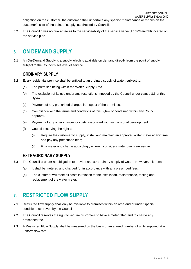obligation on the customer, the customer shall undertake any specific maintenance or repairs on the customer's side of the point of supply, as directed by Council.

**5.2** The Council gives no guarantee as to the serviceability of the service valve (Toby/Manifold) located on the service pipe.

#### <span id="page-5-0"></span>**6. ON DEMAND SUPPLY**

**6.1** An On-Demand Supply is a supply which is available on demand directly from the point of supply, subject to the Council's set level of service.

#### <span id="page-5-1"></span>**ORDINARY SUPPLY**

- **6.2** Every residential premise shall be entitled to an ordinary supply of water, subject to:
	- (a) The premises being within the Water Supply Area.
	- (b) The exclusion of its use under any restrictions imposed by the Council under clause 8.3 of this Bylaw.
	- (c) Payment of any prescribed charges in respect of the premises.
	- (d) Compliance with the terms and conditions of this Bylaw or contained within any Council approval.
	- (e) Payment of any other charges or costs associated with subdivisional development.
	- (f) Council reserving the right to:
		- (i) Require the customer to supply, install and maintain an approved water meter at any time and pay any prescribed fees;
		- (ii) Fit a meter and charge accordingly where it considers water use is excessive.

#### <span id="page-5-2"></span>**EXTRAORDINARY SUPPLY**

- **6.3** The Council is under no obligation to provide an extraordinary supply of water. However, if it does:
	- (a) It shall be metered and charged for in accordance with any prescribed fees.
	- (b) The customer will meet all costs in relation to the installation, maintenance, testing and replacement of the water meter.

### <span id="page-5-3"></span>**7. RESTRICTED FLOW SUPPLY**

- **7.1** Restricted flow supply shall only be available to premises within an area and/or under special conditions approved by the Council.
- **7.2** The Council reserves the right to require customers to have a meter fitted and to charge any prescribed fee.
- **7.3** A Restricted Flow Supply shall be measured on the basis of an agreed number of units supplied at a uniform flow rate.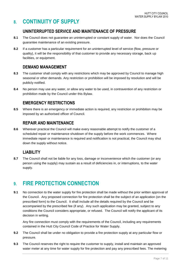### <span id="page-6-0"></span>**8. CONTINUITY OF SUPPLY**

#### <span id="page-6-1"></span>**UNINTERRUPTED SERVICE AND MAINTENANCE OF PRESSURE**

- **8.1** The Council does not guarantee an uninterrupted or constant supply of water. Nor does the Council guarantee maintenance of an existing pressure.
- **8.2** If a customer has a particular requirement for an uninterrupted level of service (flow, pressure or quality), it will be the responsibility of that customer to provide any necessary storage, back up facilities, or equipment.

#### <span id="page-6-2"></span>**DEMAND MANAGEMENT**

- **8.3** The customer shall comply with any restrictions which may be approved by Council to manage high seasonal or other demands. Any restriction or prohibition will be imposed by resolution and will be publicly notified.
- **8.4** No person may use any water, or allow any water to be used, in contravention of any restriction or prohibition made by the Council under this Bylaw.

#### <span id="page-6-3"></span>**EMERGENCY RESTRICTIONS**

**8.5** Where there is an emergency or immediate action is required, any restriction or prohibition may be imposed by an authorised officer of Council.

#### <span id="page-6-4"></span>**REPAIR AND MAINTENANCE**

**8.6** Wherever practical the Council will make every reasonable attempt to notify the customer of a scheduled repair or maintenance shutdown of the supply before the work commences. Where immediate repair or maintenance is required and notification is not practical, the Council may shut down the supply without notice.

#### <span id="page-6-5"></span>**LIABILITY**

**8.7** The Council shall not be liable for any loss, damage or inconvenience which the customer (or any person using the supply) may sustain as a result of deficiencies in, or interruptions, to the water supply.

# <span id="page-6-6"></span>**9. FIRE PROTECTION CONNECTION**

**9.1** No connection to the water supply for fire protection shall be made without the prior written approval of the Council. Any proposed connection for fire protection shall be the subject of an application (on the prescribed form) to the Council. It shall include all the details required by the Council and be accompanied by the prescribed fee (if any). Any such application may be granted, subject to any conditions the Council considers appropriate, or refused. The Council will notify the applicant of its decision in writing.

Any fire connection must comply with the requirements of the Council, including any requirements contained in the Hutt City Council Code of Practice for Water Supply.

- **9.2** The Council shall be under no obligation to provide a fire protection supply at any particular flow or pressure.
- **9.3** The Council reserves the right to require the customer to supply, install and maintain an approved water meter at any time for water supply for fire protection and pay any prescribed fees. The metering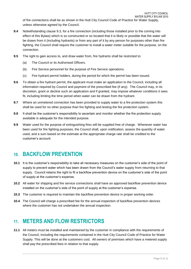of fire connections shall be as shown in the Hutt City Council Code of Practice for Water Supply, unless otherwise agreed by the Council.

- **9.4** Notwithstanding clause 9.3, for a fire connection (including those installed prior to the coming into effect of this Bylaw) which is so constructed or so located that it is likely or possible that the water will be drawn from it (including hydrants) or from any part of it by any person for purposes other than fire fighting, the Council shall require the customer to install a water meter suitable for the purpose, on the connection.
- **9.5** The right to gain access to, and draw water from, fire hydrants shall be restricted to:
	- (a) The Council or its Authorised Officers.
	- (b) Fire Service personnel for the purpose of Fire Service operations.
	- (c) Fire hydrant permit holders, during the period for which the permit has been issued.
- **9.6** To obtain a fire hydrant permit, the applicant must make an application to the Council, including all information required by Council and payment of the prescribed fee (if any). The Council may, in its discretion, grant or decline such an application and if granted, may impose whatever conditions it sees fit, including limiting the time period when water can be drawn from the hydrant.
- **9.7** Where an unmetered connection has been provided to supply water to a fire protection system this shall be used for no other purpose than fire fighting and testing the fire protection system.
- **9.8** It shall be the customer's responsibility to ascertain and monitor whether the fire protection supply available is adequate for the intended purpose.
- **9.9** Water used for the purpose of extinguishing fires will be supplied free of charge. Whenever water has been used for fire fighting purposes, the Council shall, upon notification, assess the quantity of water used, and a sum based on the estimate at the appropriate charge rate shall be credited to the customer's account.

### <span id="page-7-0"></span>**10. BACKFLOW PREVENTION**

- **10.1** It is the customer's responsibility to take all necessary measures on the customer's side of the point of supply to prevent water which has been drawn from the Council's water supply from returning to that supply. Council retains the right to fit a backflow prevention device on the customer's side of the point of supply at the customer's expense.
- **10.2** All water for shipping and fire service connections shall have an approved backflow prevention device installed on the customer's side of the point of supply at the customer's expense.
- **10.3** The customer is required to maintain the backflow prevention device in proper working order.
- **10.4** The Council will charge a prescribed fee for the annual inspection of backflow prevention devices where the customer has not undertaken the annual inspection.

# <span id="page-7-1"></span>**11. METERS AND FLOW RESTRICTORS**

**11.1** All meters must be installed and maintained by the customer in compliance with the requirements of the Council, including the requirements contained in the Hutt City Council Code of Practice for Water Supply. This will be done at the customers cost. All owners of premises which have a metered supply shall pay the prescribed fees in relation to that supply.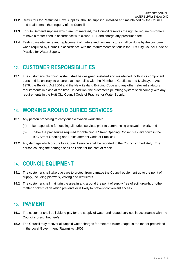- **11.2** Restrictors for Restricted Flow Supplies, shall be supplied, installed and maintained by the Council and shall remain the property of the Council.
- **11.3** For On Demand supplies which are not metered, the Council reserves the right to require customers to have a meter fitted in accordance with clause 11.1 and charge any prescribed fee.
- **11.4** Testing, maintenance and replacement of meters and flow restrictors shall be done by the customer when required by Council in accordance with the requirements set out in the Hutt City Council Code of Practice for Water Supply.

### <span id="page-8-0"></span>**12. CUSTOMER RESPONSIBILITIES**

**12.1** The customer's plumbing system shall be designed, installed and maintained, both in its component parts and its entirety, to ensure that it complies with the Plumbers, Gasfitters and Drainlayers Act 1976, the Building Act 2004 and the New Zealand Building Code and any other relevant statutory requirements in place at the time. In addition, the customer's plumbing system shall comply with any requirements in the Hutt City Council Code of Practice for Water Supply.

### <span id="page-8-1"></span>**13. WORKING AROUND BURIED SERVICES**

- **13.1** Any person proposing to carry out excavation work shall:
	- (a) Be responsible for locating all buried services prior to commencing excavation work, and
	- (b) Follow the procedures required for obtaining a Street Opening Consent (as laid down in the HCC Street Opening and Reinstatement Code of Practice).
- **13.2** Any damage which occurs to a Council service shall be reported to the Council immediately. The person causing the damage shall be liable for the cost of repair.

# <span id="page-8-2"></span>**14. COUNCIL EQUIPMENT**

- **14.1** The customer shall take due care to protect from damage the Council equipment up to the point of supply, including pipework, valving and restrictors.
- **14.2** The customer shall maintain the area in and around the point of supply free of soil, growth, or other matter or obstruction which prevents or is likely to prevent convenient access.

#### <span id="page-8-3"></span>**15. PAYMENT**

- **15.1** The customer shall be liable to pay for the supply of water and related services in accordance with the Council's prescribed fee/s.
- **15.2** The Council may recover all unpaid water charges for metered water usage, in the matter prescribed in the Local Government (Rating) Act 2002.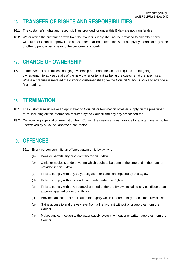#### <span id="page-9-0"></span>**16. TRANSFER OF RIGHTS AND RESPONSIBILITIES**

- **16.1** The customer's rights and responsibilities provided for under this Bylaw are not transferable.
- **16.2** Water which the customer draws from the Council supply shall not be provided to any other party without prior Council approval and a customer shall not extend the water supply by means of any hose or other pipe to a party beyond the customer's property.

#### <span id="page-9-1"></span>**17. CHANGE OF OWNERSHIP**

**17.1** In the event of a premises changing ownership or tenant the Council requires the outgoing owner/tenant to advise details of the new owner or tenant as being the customer at that premises. Where a premise is metered the outgoing customer shall give the Council 48 hours notice to arrange a final reading.

#### <span id="page-9-2"></span>**18. TERMINATION**

- **18.1** The customer must make an application to Council for termination of water supply on the prescribed form, including all the information required by the Council and pay any prescribed fee.
- **18.2** On receiving approval of termination from Council the customer must arrange for any termination to be undertaken by a Council approved contractor.

#### <span id="page-9-3"></span>**19. OFFENCES**

- **19.1** Every person commits an offence against this bylaw who:
	- (a) Does or permits anything contrary to this Bylaw.
	- (b) Omits or neglects to do anything which ought to be done at the time and in the manner provided in this Bylaw.
	- (c) Fails to comply with any duty, obligation, or condition imposed by this Bylaw.
	- (d) Fails to comply with any resolution made under this Bylaw.
	- (e) Fails to comply with any approval granted under the Bylaw, including any condition of an approval granted under this Bylaw.
	- (f) Provides an incorrect application for supply which fundamentally affects the provisions;
	- (g) Gains access to and draws water from a fire hydrant without prior approval from the Council.
	- (h) Makes any connection to the water supply system without prior written approval from the Council.